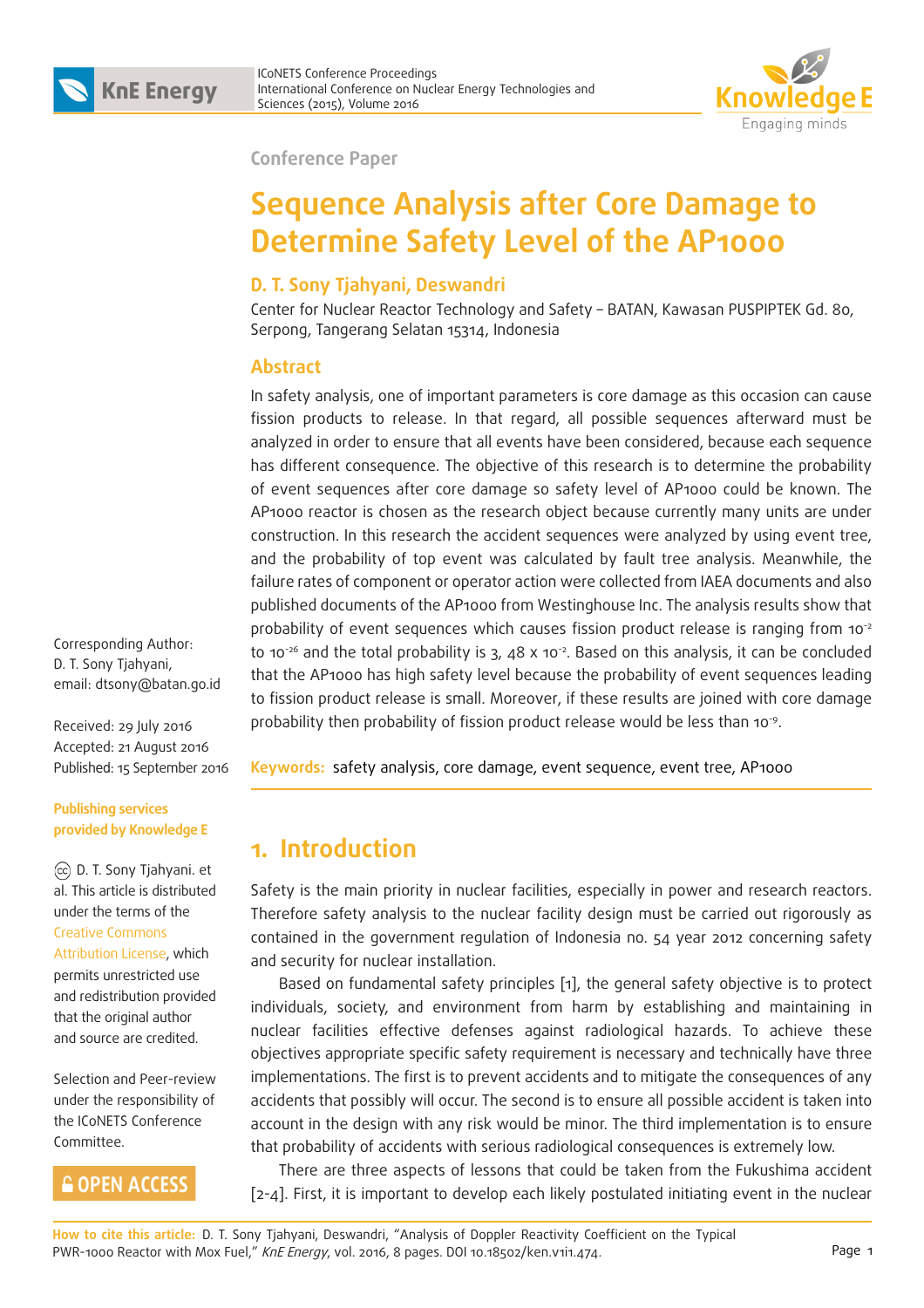



**Conference Paper**

# **Sequence Analysis after Core Damage to Determine Safety Level of the AP1000**

### **D. T. Sony Tjahyani, Deswandri**

Center for Nuclear Reactor Technology and Safety – BATAN, Kawasan PUSPIPTEK Gd. 80, Serpong, Tangerang Selatan 15314, Indonesia

#### **Abstract**

In safety analysis, one of important parameters is core damage as this occasion can cause fission products to release. In that regard, all possible sequences afterward must be analyzed in order to ensure that all events have been considered, because each sequence has different consequence. The objective of this research is to determine the probability of event sequences after core damage so safety level of AP1000 could be known. The AP1000 reactor is chosen as the research object because currently many units are under construction. In this research the accident sequences were analyzed by using event tree, and the probability of top event was calculated by fault tree analysis. Meanwhile, the failure rates of component or operator action were collected from IAEA documents and also published documents of the AP1000 from Westinghouse Inc. The analysis results show that probability of event sequences which causes fission product release is ranging from 10<sup>-2</sup> to 10<sup>-26</sup> and the total probability is 3, 48 x 10<sup>-2</sup>. Based on this analysis, it can be concluded that the AP1000 has high safety level because the probability of event sequences leading to fission product release is small. Moreover, if these results are joined with core damage probability then probability of fission product release would be less than 10<sup>-9</sup>.

**Keywords:** safety analysis, core damage, event sequence, event tree, AP1000

# **1. Introduction**

Safety is the main priority in nuclear facilities, especially in power and research reactors. Therefore safety analysis to the nuclear facility design must be carried out rigorously as contained in the government regulation of Indonesia no. 54 year 2012 concerning safety and security for nuclear installation.

Based on fundamental safety principles [1], the general safety objective is to protect individuals, society, and environment from harm by establishing and maintaining in nuclear facilities effective defenses against radiological hazards. To achieve these objectives appropriate specific safety requirement is necessary and technically have three implementations. The first is to prevent accidents and to mitigate the consequences of any accidents that possibly will occur. The second is to ensure all possible accident is taken into account in the design with any risk would be minor. The third implementation is to ensure that probability of accidents with serious radiological consequences is extremely low.

There are three aspects of lessons that could be taken from the Fukushima accident [2-4]. First, it is important to develop each likely postulated initiating event in the nuclear

Corresponding Author: D. T. Sony Tjahyani, email: dtsony@batan.go.id

Received: 29 July 2016 Accepted: 21 August 2016 Published: 15 September 2016

#### **Publishing services provided by Knowledge E**

 D. T. Sony Tjahyani. et al. This article is distributed under the terms of the Creative Commons Attribution License, which permits unrestricted use and redistribution provided

Selection and Peer-review under the responsibility of the ICoNETS Conference Committee.

that the original author and source are credited.

# **GOPEN ACCESS**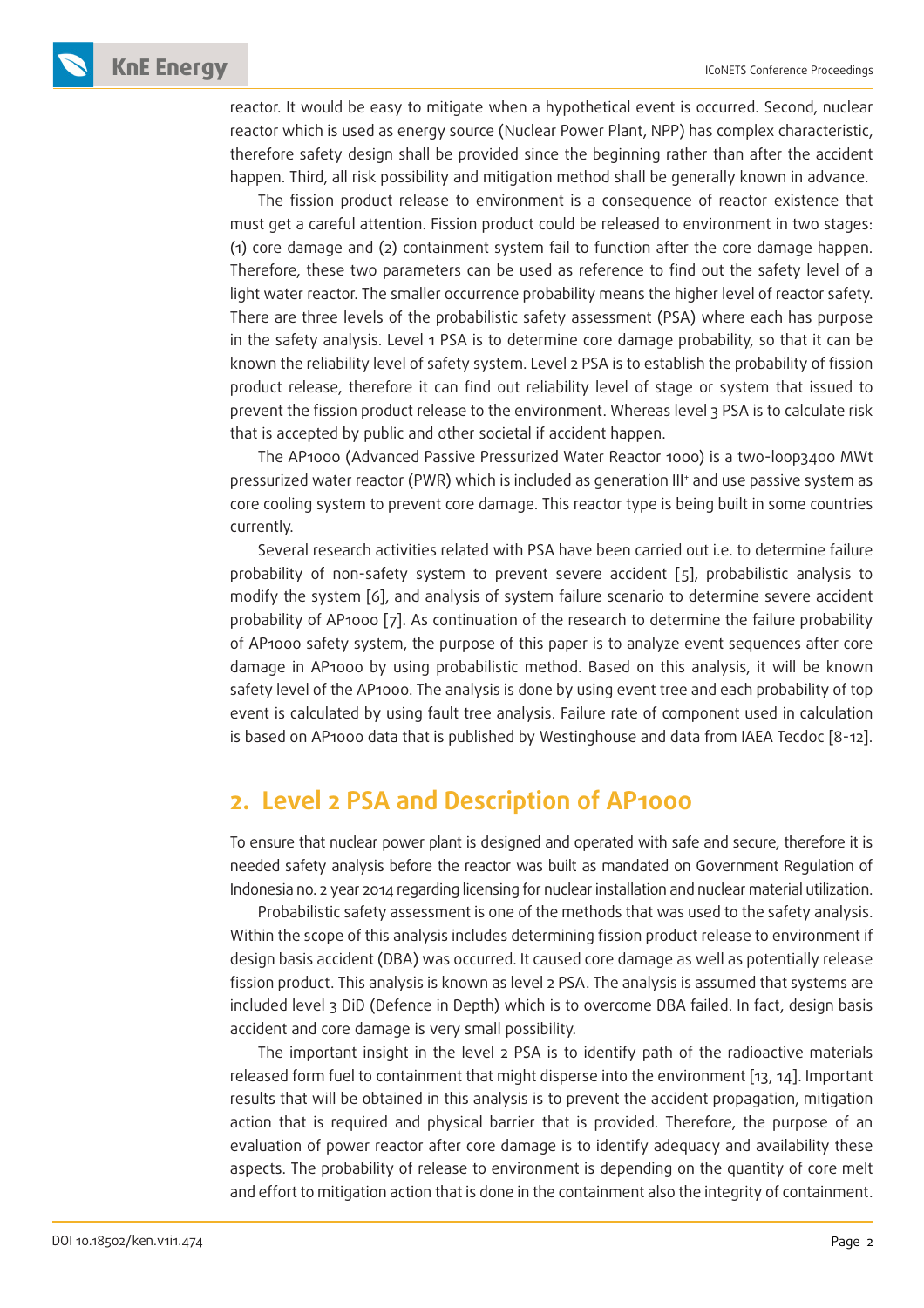**KnE Energy ICONETS Conference Proceedings** 

reactor. It would be easy to mitigate when a hypothetical event is occurred. Second, nuclear reactor which is used as energy source (Nuclear Power Plant, NPP) has complex characteristic, therefore safety design shall be provided since the beginning rather than after the accident happen. Third, all risk possibility and mitigation method shall be generally known in advance.

The fission product release to environment is a consequence of reactor existence that must get a careful attention. Fission product could be released to environment in two stages: (1) core damage and (2) containment system fail to function after the core damage happen. Therefore, these two parameters can be used as reference to find out the safety level of a light water reactor. The smaller occurrence probability means the higher level of reactor safety. There are three levels of the probabilistic safety assessment (PSA) where each has purpose in the safety analysis. Level 1 PSA is to determine core damage probability, so that it can be known the reliability level of safety system. Level 2 PSA is to establish the probability of fission product release, therefore it can find out reliability level of stage or system that issued to prevent the fission product release to the environment. Whereas level 3 PSA is to calculate risk that is accepted by public and other societal if accident happen.

The AP1000 (Advanced Passive Pressurized Water Reactor 1000) is a two-loop3400 MWt pressurized water reactor (PWR) which is included as generation III+ and use passive system as core cooling system to prevent core damage. This reactor type is being built in some countries currently.

Several research activities related with PSA have been carried out i.e. to determine failure probability of non-safety system to prevent severe accident [5], probabilistic analysis to modify the system [6], and analysis of system failure scenario to determine severe accident probability of AP1000 [7]. As continuation of the research to determine the failure probability of AP1000 safety system, the purpose of this paper is to analyze event sequences after core damage in AP1000 by using probabilistic method. Based on this analysis, it will be known safety level of the AP1000. The analysis is done by using event tree and each probability of top event is calculated by using fault tree analysis. Failure rate of component used in calculation is based on AP1000 data that is published by Westinghouse and data from IAEA Tecdoc [8-12].

### **2. Level 2 PSA and Description of AP1000**

To ensure that nuclear power plant is designed and operated with safe and secure, therefore it is needed safety analysis before the reactor was built as mandated on Government Regulation of Indonesia no. 2 year 2014 regarding licensing for nuclear installation and nuclear material utilization.

Probabilistic safety assessment is one of the methods that was used to the safety analysis. Within the scope of this analysis includes determining fission product release to environment if design basis accident (DBA) was occurred. It caused core damage as well as potentially release fission product. This analysis is known as level 2 PSA. The analysis is assumed that systems are included level 3 DiD (Defence in Depth) which is to overcome DBA failed. In fact, design basis accident and core damage is very small possibility.

The important insight in the level 2 PSA is to identify path of the radioactive materials released form fuel to containment that might disperse into the environment [13, 14]. Important results that will be obtained in this analysis is to prevent the accident propagation, mitigation action that is required and physical barrier that is provided. Therefore, the purpose of an evaluation of power reactor after core damage is to identify adequacy and availability these aspects. The probability of release to environment is depending on the quantity of core melt and effort to mitigation action that is done in the containment also the integrity of containment.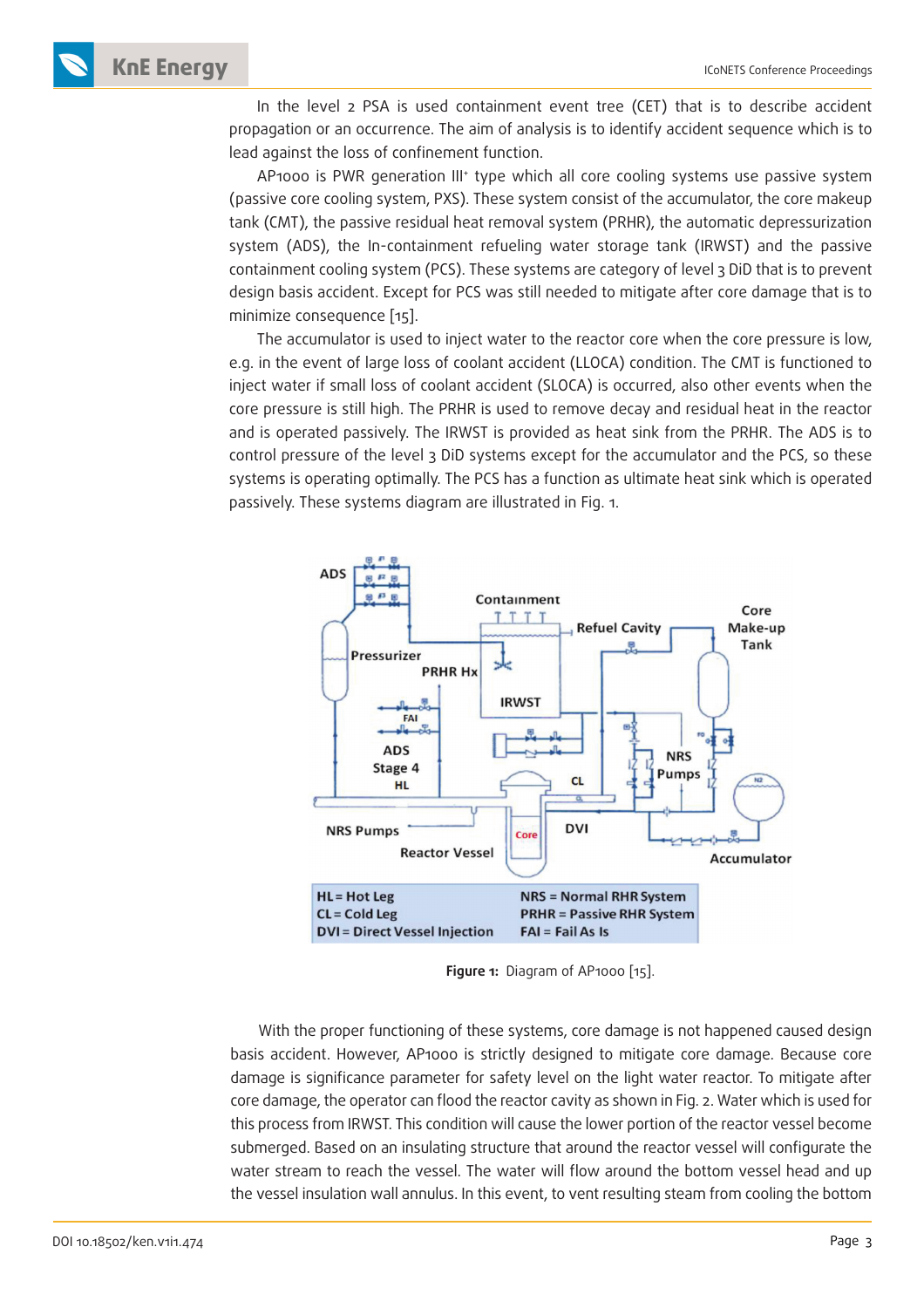**KnE Energy ICONETS Conference Proceedings** 

In the level 2 PSA is used containment event tree (CET) that is to describe accident propagation or an occurrence. The aim of analysis is to identify accident sequence which is to lead against the loss of confinement function.

AP1000 is PWR generation III<sup>+</sup> type which all core cooling systems use passive system (passive core cooling system, PXS). These system consist of the accumulator, the core makeup tank (CMT), the passive residual heat removal system (PRHR), the automatic depressurization system (ADS), the In-containment refueling water storage tank (IRWST) and the passive containment cooling system (PCS). These systems are category of level 3 DiD that is to prevent design basis accident. Except for PCS was still needed to mitigate after core damage that is to minimize consequence [15].

The accumulator is used to inject water to the reactor core when the core pressure is low, e.g. in the event of large loss of coolant accident (LLOCA) condition. The CMT is functioned to inject water if small loss of coolant accident (SLOCA) is occurred, also other events when the core pressure is still high. The PRHR is used to remove decay and residual heat in the reactor and is operated passively. The IRWST is provided as heat sink from the PRHR. The ADS is to control pressure of the level 3 DiD systems except for the accumulator and the PCS, so these systems is operating optimally. The PCS has a function as ultimate heat sink which is operated passively. These systems diagram are illustrated in Fig. 1.



**Figure 1:** Diagram of AP1000 [15].

With the proper functioning of these systems, core damage is not happened caused design basis accident. However, AP1000 is strictly designed to mitigate core damage. Because core damage is significance parameter for safety level on the light water reactor. To mitigate after core damage, the operator can flood the reactor cavity as shown in Fig. 2. Water which is used for this process from IRWST. This condition will cause the lower portion of the reactor vessel become submerged. Based on an insulating structure that around the reactor vessel will configurate the water stream to reach the vessel. The water will flow around the bottom vessel head and up the vessel insulation wall annulus. In this event, to vent resulting steam from cooling the bottom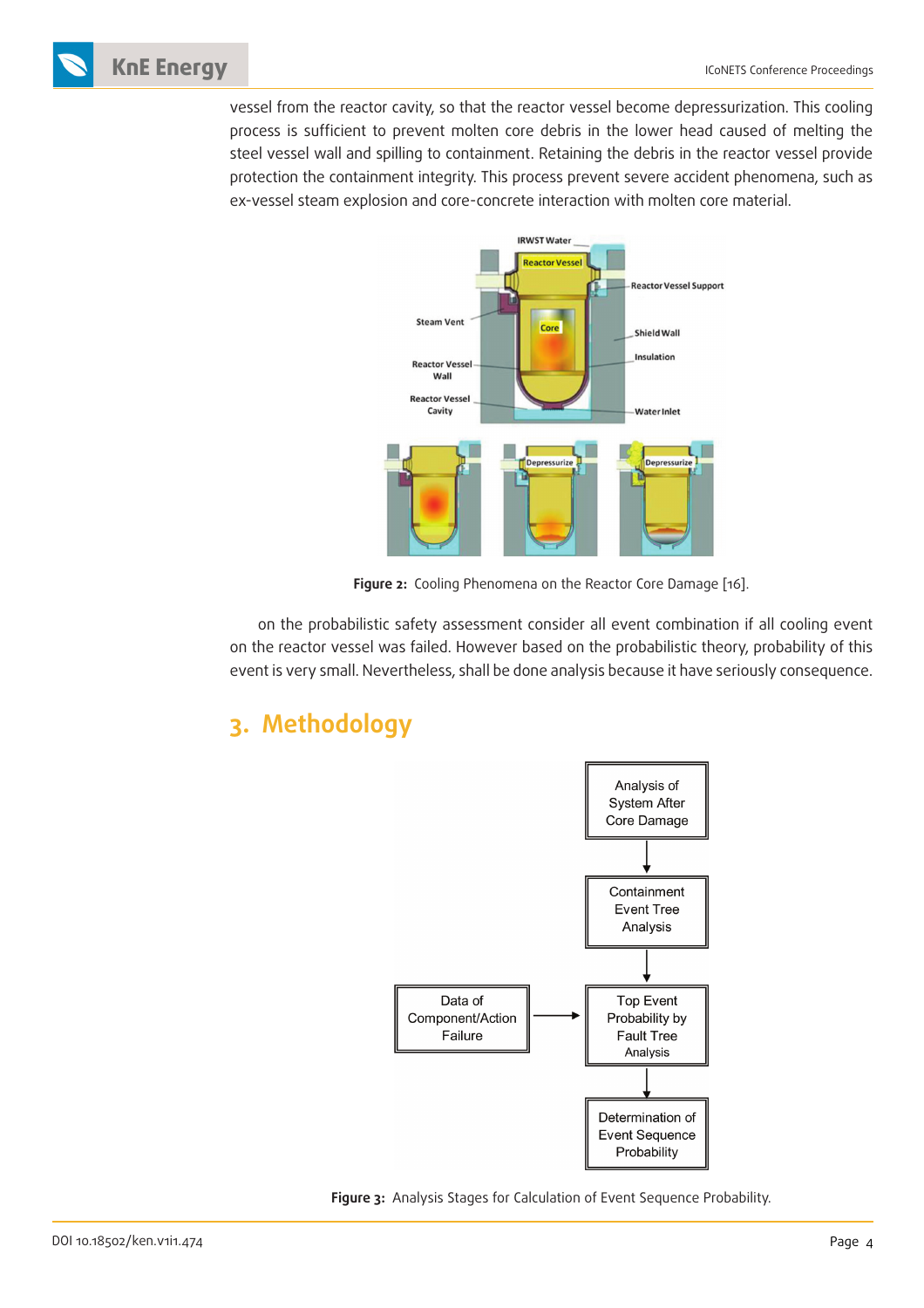

vessel from the reactor cavity, so that the reactor vessel become depressurization. This cooling process is sufficient to prevent molten core debris in the lower head caused of melting the steel vessel wall and spilling to containment. Retaining the debris in the reactor vessel provide protection the containment integrity. This process prevent severe accident phenomena, such as ex-vessel steam explosion and core-concrete interaction with molten core material.



**Figure 2:** Cooling Phenomena on the Reactor Core Damage [16].

on the probabilistic safety assessment consider all event combination if all cooling event on the reactor vessel was failed. However based on the probabilistic theory, probability of this event is very small. Nevertheless, shall be done analysis because it have seriously consequence.

# **3. Methodology**



**Figure 3:** Analysis Stages for Calculation of Event Sequence Probability.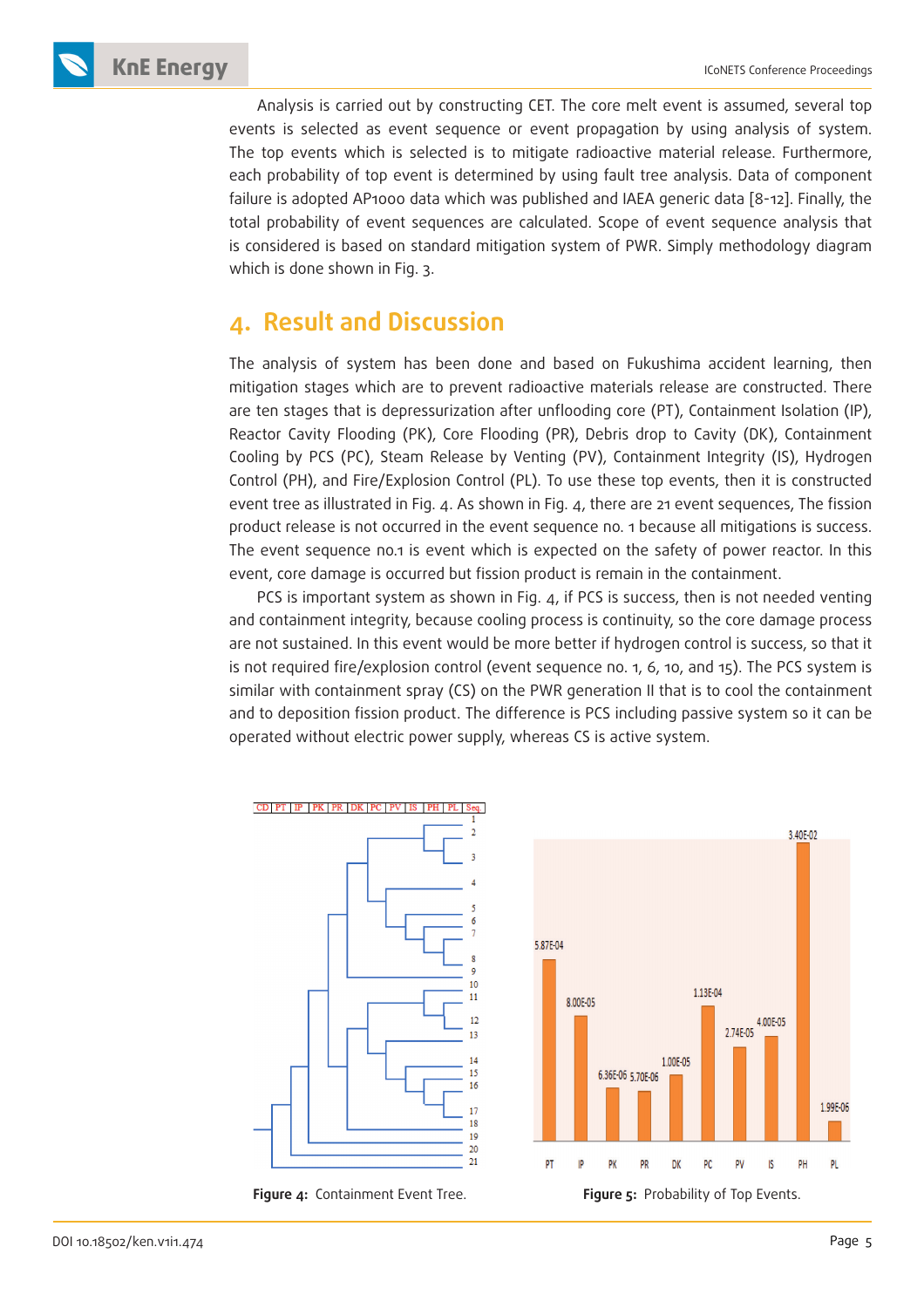

Analysis is carried out by constructing CET. The core melt event is assumed, several top events is selected as event sequence or event propagation by using analysis of system. The top events which is selected is to mitigate radioactive material release. Furthermore, each probability of top event is determined by using fault tree analysis. Data of component failure is adopted AP1000 data which was published and IAEA generic data [8-12]. Finally, the total probability of event sequences are calculated. Scope of event sequence analysis that is considered is based on standard mitigation system of PWR. Simply methodology diagram which is done shown in Fig. 3.

## **4. Result and Discussion**

The analysis of system has been done and based on Fukushima accident learning, then mitigation stages which are to prevent radioactive materials release are constructed. There are ten stages that is depressurization after unflooding core (PT), Containment Isolation (IP), Reactor Cavity Flooding (PK), Core Flooding (PR), Debris drop to Cavity (DK), Containment Cooling by PCS (PC), Steam Release by Venting (PV), Containment Integrity (IS), Hydrogen Control (PH), and Fire/Explosion Control (PL). To use these top events, then it is constructed event tree as illustrated in Fig. 4. As shown in Fig. 4, there are 21 event sequences, The fission product release is not occurred in the event sequence no. 1 because all mitigations is success. The event sequence no.1 is event which is expected on the safety of power reactor. In this event, core damage is occurred but fission product is remain in the containment.

PCS is important system as shown in Fig. 4, if PCS is success, then is not needed venting and containment integrity, because cooling process is continuity, so the core damage process are not sustained. In this event would be more better if hydrogen control is success, so that it is not required fire/explosion control (event sequence no. 1, 6, 10, and 15). The PCS system is similar with containment spray (CS) on the PWR generation II that is to cool the containment and to deposition fission product. The difference is PCS including passive system so it can be operated without electric power supply, whereas CS is active system.

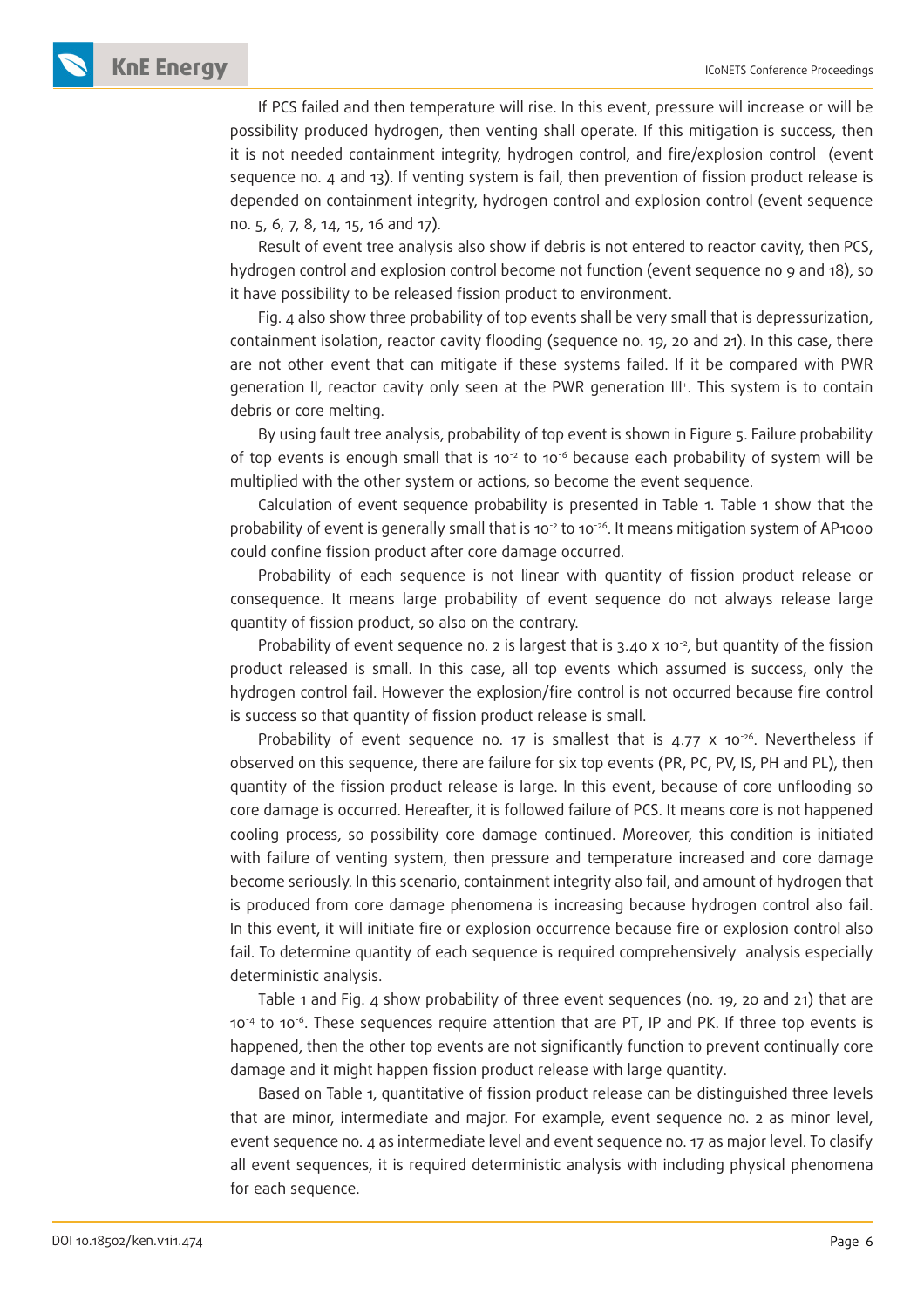### **KnE Energy ICONETS Conference Proceedings**

If PCS failed and then temperature will rise. In this event, pressure will increase or will be possibility produced hydrogen, then venting shall operate. If this mitigation is success, then it is not needed containment integrity, hydrogen control, and fire/explosion control (event sequence no. 4 and 13). If venting system is fail, then prevention of fission product release is depended on containment integrity, hydrogen control and explosion control (event sequence no. 5, 6, 7, 8, 14, 15, 16 and 17).

Result of event tree analysis also show if debris is not entered to reactor cavity, then PCS, hydrogen control and explosion control become not function (event sequence no 9 and 18), so it have possibility to be released fission product to environment.

Fig. 4 also show three probability of top events shall be very small that is depressurization, containment isolation, reactor cavity flooding (sequence no. 19, 20 and 21). In this case, there are not other event that can mitigate if these systems failed. If it be compared with PWR generation II, reactor cavity only seen at the PWR generation III+ . This system is to contain debris or core melting.

By using fault tree analysis, probability of top event is shown in Figure 5. Failure probability of top events is enough small that is 10 $2$  to 10 $6$  because each probability of system will be multiplied with the other system or actions, so become the event sequence.

Calculation of event sequence probability is presented in Table 1. Table 1 show that the probability of event is generally small that is 10<sup>-2</sup> to 10<sup>-26</sup>. It means mitigation system of AP1000 could confine fission product after core damage occurred.

Probability of each sequence is not linear with quantity of fission product release or consequence. It means large probability of event sequence do not always release large quantity of fission product, so also on the contrary.

Probability of event sequence no. 2 is largest that is  $3.40 \times 10^{-2}$ , but quantity of the fission product released is small. In this case, all top events which assumed is success, only the hydrogen control fail. However the explosion/fire control is not occurred because fire control is success so that quantity of fission product release is small.

Probability of event sequence no. 17 is smallest that is  $4.77 \times 10^{-26}$ . Nevertheless if observed on this sequence, there are failure for six top events (PR, PC, PV, IS, PH and PL), then quantity of the fission product release is large. In this event, because of core unflooding so core damage is occurred. Hereafter, it is followed failure of PCS. It means core is not happened cooling process, so possibility core damage continued. Moreover, this condition is initiated with failure of venting system, then pressure and temperature increased and core damage become seriously. In this scenario, containment integrity also fail, and amount of hydrogen that is produced from core damage phenomena is increasing because hydrogen control also fail. In this event, it will initiate fire or explosion occurrence because fire or explosion control also fail. To determine quantity of each sequence is required comprehensively analysis especially deterministic analysis.

Table 1 and Fig. 4 show probability of three event sequences (no. 19, 20 and 21) that are 10-4 to 10-6. These sequences require attention that are PT, IP and PK. If three top events is happened, then the other top events are not significantly function to prevent continually core damage and it might happen fission product release with large quantity.

Based on Table 1, quantitative of fission product release can be distinguished three levels that are minor, intermediate and major. For example, event sequence no. 2 as minor level, event sequence no. 4 as intermediate level and event sequence no. 17 as major level. To clasify all event sequences, it is required deterministic analysis with including physical phenomena for each sequence.